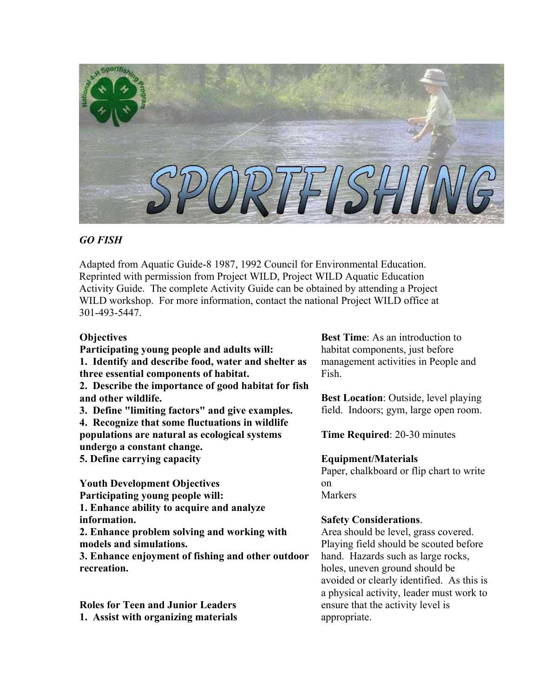

# *GO FISH*

Adapted from Aquatic Guide-8 1987, 1992 Council for Environmental Education. Reprinted with permission from Project WILD, Project WILD Aquatic Education Activity Guide. The complete Activity Guide can be obtained by attending a Project WILD workshop. For more information, contact the national Project WILD office at 301-493-5447.

# **Objectives**

**Participating young people and adults will: 1. Identify and describe food, water and shelter as three essential components of habitat.** 

**2. Describe the importance of good habitat for fish and other wildlife.** 

**3. Define "limiting factors" and give examples. 4. Recognize that some fluctuations in wildlife** 

**populations are natural as ecological systems undergo a constant change.** 

**5. Define carrying capacity** 

**Youth Development Objectives Participating young people will: 1. Enhance ability to acquire and analyze information.**

**2. Enhance problem solving and working with models and simulations.**

**3. Enhance enjoyment of fishing and other outdoor recreation.**

**Roles for Teen and Junior Leaders 1. Assist with organizing materials** 

**Best Time**: As an introduction to habitat components, just before management activities in People and Fish.

**Best Location**: Outside, level playing field. Indoors; gym, large open room.

**Time Required**: 20-30 minutes

# **Equipment/Materials**

Paper, chalkboard or flip chart to write on Markers

# **Safety Considerations**.

Area should be level, grass covered. Playing field should be scouted before hand. Hazards such as large rocks, holes, uneven ground should be avoided or clearly identified. As this is a physical activity, leader must work to ensure that the activity level is appropriate.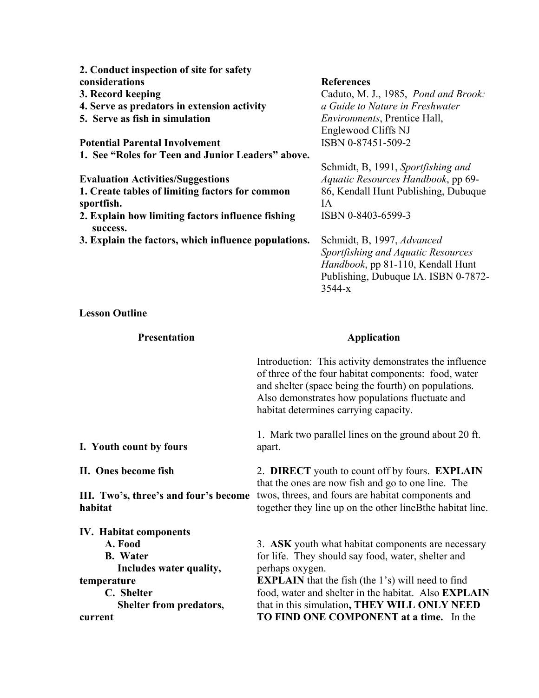| 2. Conduct inspection of site for safety             |                                      |
|------------------------------------------------------|--------------------------------------|
| considerations                                       | <b>References</b>                    |
| 3. Record keeping                                    | Caduto, M. J., 1985, Pond and Brook: |
| 4. Serve as predators in extension activity          | a Guide to Nature in Freshwater      |
| 5. Serve as fish in simulation                       | <i>Environments</i> , Prentice Hall, |
|                                                      | Englewood Cliffs NJ                  |
| <b>Potential Parental Involvement</b>                | ISBN 0-87451-509-2                   |
| 1. See "Roles for Teen and Junior Leaders" above.    |                                      |
|                                                      | Schmidt, B, 1991, Sportfishing and   |
| <b>Evaluation Activities/Suggestions</b>             | Aquatic Resources Handbook, pp 69-   |
| 1. Create tables of limiting factors for common      | 86, Kendall Hunt Publishing, Dubuque |
| sportfish.                                           | IA                                   |
| 2. Explain how limiting factors influence fishing    | ISBN 0-8403-6599-3                   |
| success.                                             |                                      |
| 3. Explain the factors, which influence populations. | Schmidt, B, 1997, Advanced           |
|                                                      | Sportfishing and Aquatic Resources   |
|                                                      | Handbook, pp 81-110, Kendall Hunt    |
|                                                      | Publishing, Dubuque IA. ISBN 0-7872- |
|                                                      | $3544 - x$                           |

**Lesson Outline** 

| <b>Presentation</b>                                                                                                                                              | <b>Application</b>                                                                                                                                                                                                                                                                                                                                       |
|------------------------------------------------------------------------------------------------------------------------------------------------------------------|----------------------------------------------------------------------------------------------------------------------------------------------------------------------------------------------------------------------------------------------------------------------------------------------------------------------------------------------------------|
|                                                                                                                                                                  | Introduction: This activity demonstrates the influence<br>of three of the four habitat components: food, water<br>and shelter (space being the fourth) on populations.<br>Also demonstrates how populations fluctuate and<br>habitat determines carrying capacity.                                                                                       |
| I. Youth count by fours                                                                                                                                          | 1. Mark two parallel lines on the ground about 20 ft.<br>apart.                                                                                                                                                                                                                                                                                          |
| II. Ones become fish<br>III. Two's, three's and four's become<br>habitat                                                                                         | 2. DIRECT youth to count off by fours. EXPLAIN<br>that the ones are now fish and go to one line. The<br>twos, threes, and fours are habitat components and<br>together they line up on the other line Bthe habitat line.                                                                                                                                 |
| <b>IV. Habitat components</b><br>A. Food<br><b>B.</b> Water<br>Includes water quality,<br>temperature<br>C. Shelter<br><b>Shelter from predators,</b><br>current | 3. ASK youth what habitat components are necessary<br>for life. They should say food, water, shelter and<br>perhaps oxygen.<br><b>EXPLAIN</b> that the fish (the 1's) will need to find<br>food, water and shelter in the habitat. Also <b>EXPLAIN</b><br>that in this simulation, THEY WILL ONLY NEED<br><b>TO FIND ONE COMPONENT at a time.</b> In the |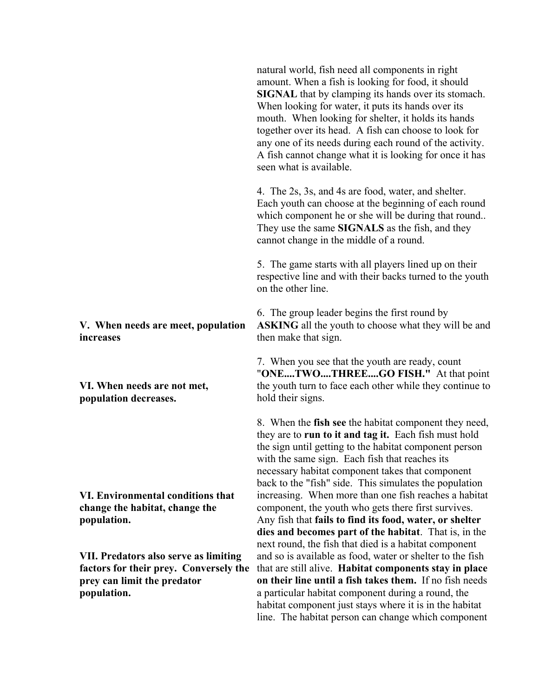**V. When needs are meet, population increases** 

**VI. When needs are not met, population decreases.** 

**VI. Environmental conditions that change the habitat, change the population.** 

**VII. Predators also serve as limiting factors for their prey. Conversely the prey can limit the predator population.** 

natural world, fish need all components in right amount. When a fish is looking for food, it should **SIGNAL** that by clamping its hands over its stomach. When looking for water, it puts its hands over its mouth. When looking for shelter, it holds its hands together over its head. A fish can choose to look for any one of its needs during each round of the activity. A fish cannot change what it is looking for once it has seen what is available.

4. The 2s, 3s, and 4s are food, water, and shelter. Each youth can choose at the beginning of each round which component he or she will be during that round.. They use the same **SIGNALS** as the fish, and they cannot change in the middle of a round.

5. The game starts with all players lined up on their respective line and with their backs turned to the youth on the other line.

6. The group leader begins the first round by **ASKING** all the youth to choose what they will be and then make that sign.

7. When you see that the youth are ready, count "**ONE....TWO....THREE....GO FISH."** At that point the youth turn to face each other while they continue to hold their signs.

8. When the **fish see** the habitat component they need, they are to **run to it and tag it.** Each fish must hold the sign until getting to the habitat component person with the same sign. Each fish that reaches its necessary habitat component takes that component back to the "fish" side. This simulates the population increasing. When more than one fish reaches a habitat component, the youth who gets there first survives. Any fish that **fails to find its food, water, or shelter dies and becomes part of the habitat**. That is, in the next round, the fish that died is a habitat component and so is available as food, water or shelter to the fish that are still alive. **Habitat components stay in place on their line until a fish takes them.** If no fish needs a particular habitat component during a round, the habitat component just stays where it is in the habitat line. The habitat person can change which component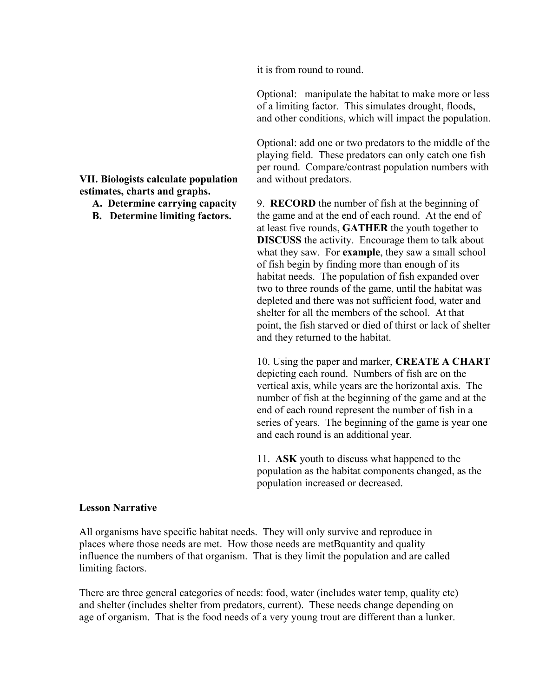it is from round to round.

Optional: manipulate the habitat to make more or less of a limiting factor. This simulates drought, floods, and other conditions, which will impact the population.

Optional: add one or two predators to the middle of the playing field. These predators can only catch one fish per round. Compare/contrast population numbers with and without predators.

9. **RECORD** the number of fish at the beginning of the game and at the end of each round. At the end of at least five rounds, **GATHER** the youth together to **DISCUSS** the activity. Encourage them to talk about what they saw. For **example**, they saw a small school of fish begin by finding more than enough of its habitat needs. The population of fish expanded over two to three rounds of the game, until the habitat was depleted and there was not sufficient food, water and shelter for all the members of the school. At that point, the fish starved or died of thirst or lack of shelter and they returned to the habitat.

10. Using the paper and marker, **CREATE A CHART** depicting each round. Numbers of fish are on the vertical axis, while years are the horizontal axis. The number of fish at the beginning of the game and at the end of each round represent the number of fish in a series of years. The beginning of the game is year one and each round is an additional year.

11. **ASK** youth to discuss what happened to the population as the habitat components changed, as the population increased or decreased.

## **Lesson Narrative**

All organisms have specific habitat needs. They will only survive and reproduce in places where those needs are met. How those needs are metBquantity and quality influence the numbers of that organism. That is they limit the population and are called limiting factors.

There are three general categories of needs: food, water (includes water temp, quality etc) and shelter (includes shelter from predators, current). These needs change depending on age of organism. That is the food needs of a very young trout are different than a lunker.

**VII. Biologists calculate population estimates, charts and graphs.** 

- **A. Determine carrying capacity**
- **B. Determine limiting factors.**